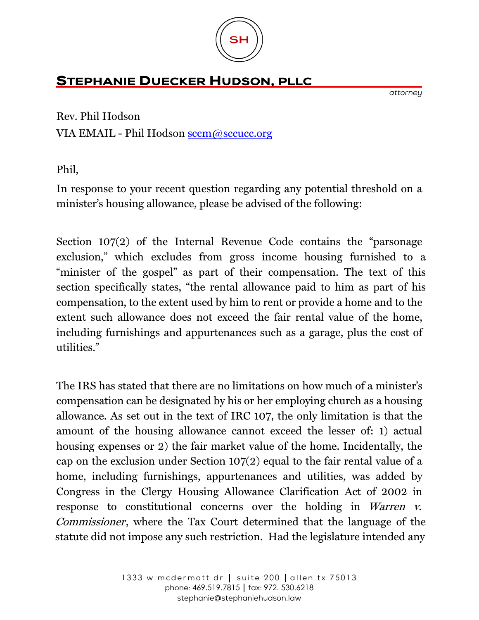

## **STEPHANIE DUECKER HUDSON, PLLC**

*attorney* 

Rev. Phil Hodson

VIA EMAIL - Phil Hodson [sccm@sccucc.org](mailto:sccm@sccucc.org)

Phil,

In response to your recent question regarding any potential threshold on a minister's housing allowance, please be advised of the following:

Section 107(2) of the Internal Revenue Code contains the "parsonage exclusion," which excludes from gross income housing furnished to a "minister of the gospel" as part of their compensation. The text of this section specifically states, "the rental allowance paid to him as part of his compensation, to the extent used by him to rent or provide a home and to the extent such allowance does not exceed the fair rental value of the home, including furnishings and appurtenances such as a garage, plus the cost of utilities."

The IRS has stated that there are no limitations on how much of a minister's compensation can be designated by his or her employing church as a housing allowance. As set out in the text of IRC 107, the only limitation is that the amount of the housing allowance cannot exceed the lesser of: 1) actual housing expenses or 2) the fair market value of the home. Incidentally, the cap on the exclusion under Section 107(2) equal to the fair rental value of a home, including furnishings, appurtenances and utilities, was added by Congress in the Clergy Housing Allowance Clarification Act of 2002 in response to constitutional concerns over the holding in Warren v. Commissioner, where the Tax Court determined that the language of the statute did not impose any such restriction. Had the legislature intended any